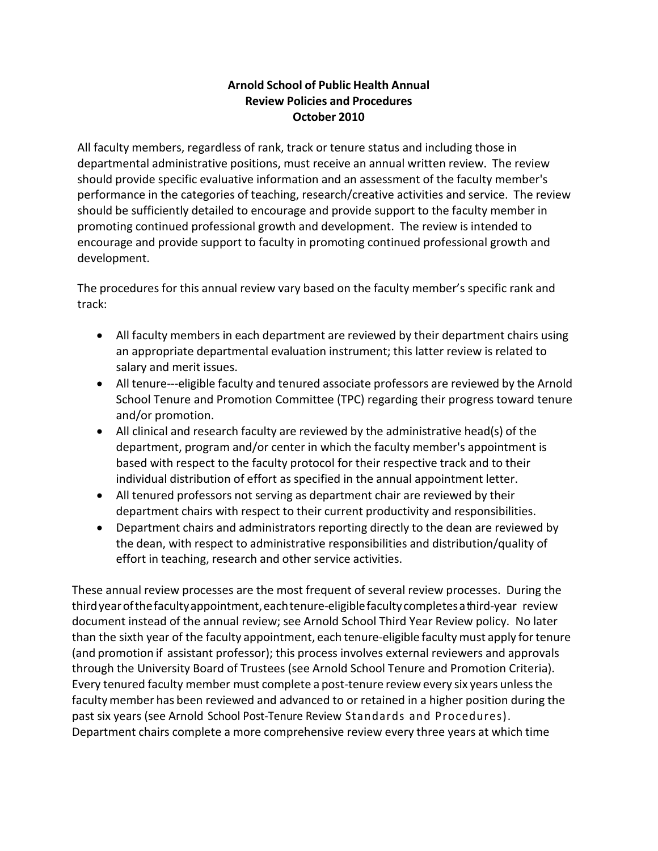## **Arnold School of Public Health Annual Review Policies and Procedures October 2010**

All faculty members, regardless of rank, track or tenure status and including those in departmental administrative positions, must receive an annual written review. The review should provide specific evaluative information and an assessment of the faculty member's performance in the categories of teaching, research/creative activities and service. The review should be sufficiently detailed to encourage and provide support to the faculty member in promoting continued professional growth and development. The review is intended to encourage and provide support to faculty in promoting continued professional growth and development.

The procedures for this annual review vary based on the faculty member's specific rank and track:

- All faculty members in each department are reviewed by their department chairs using an appropriate departmental evaluation instrument; this latter review is related to salary and merit issues.
- All tenure---eligible faculty and tenured associate professors are reviewed by the Arnold School Tenure and Promotion Committee (TPC) regarding their progress toward tenure and/or promotion.
- All clinical and research faculty are reviewed by the administrative head(s) of the department, program and/or center in which the faculty member's appointment is based with respect to the faculty protocol for their respective track and to their individual distribution of effort as specified in the annual appointment letter.
- All tenured professors not serving as department chair are reviewed by their department chairs with respect to their current productivity and responsibilities.
- Department chairs and administrators reporting directly to the dean are reviewed by the dean, with respect to administrative responsibilities and distribution/quality of effort in teaching, research and other service activities.

These annual review processes are the most frequent of several review processes. During the thirdyearofthefacultyappointment,eachtenure-eligiblefacultycompletesathird-year review document instead of the annual review; see Arnold School Third Year Review policy. No later than the sixth year of the faculty appointment, each tenure-eligible facultymust apply fortenure (and promotion if assistant professor); this process involves external reviewers and approvals through the University Board of Trustees (see Arnold School Tenure and Promotion Criteria). Every tenured faculty member must complete a post-tenure review every six years unlessthe facultymember has been reviewed and advanced to or retained in a higher position during the past six years (see Arnold School Post-Tenure Review Standards and Procedures). Department chairs complete a more comprehensive review every three years at which time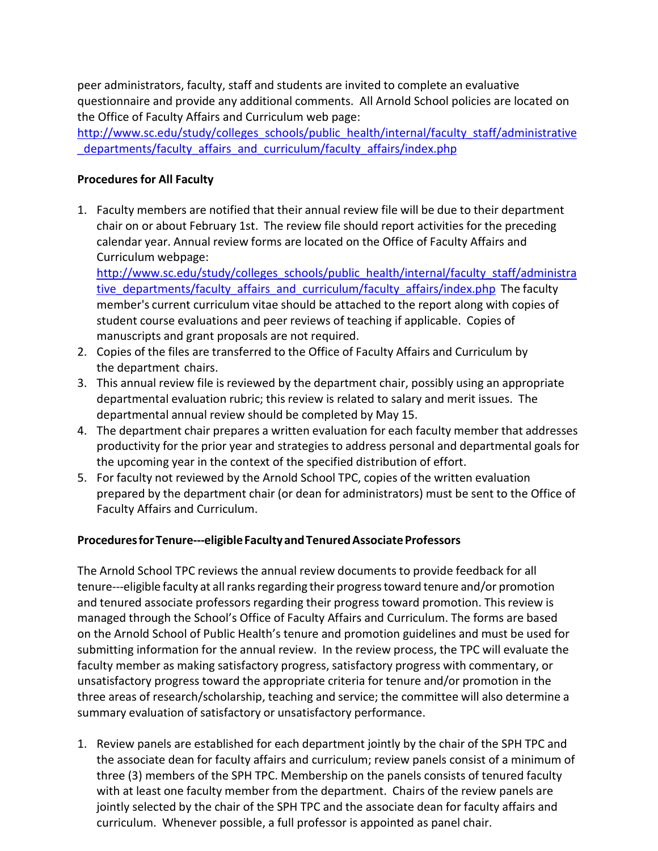peer administrators, faculty, staff and students are invited to complete an evaluative questionnaire and provide any additional comments. All Arnold School policies are located on the Office of Faculty Affairs and Curriculum web page:

[http://www.sc.edu/study/colleges\\_schools/public\\_health/internal/faculty\\_staff/administrative](http://www.sc.edu/study/colleges_schools/public_health/internal/faculty_staff/administrative_departments/faculty_affairs_and_curriculum/faculty_affairs/index.php) departments/faculty\_affairs\_and\_curriculum/faculty\_affairs/index.php

## **Procedures for All Faculty**

1. Faculty members are notified that their annual review file will be due to their department chair on or about February 1st. The review file should report activities for the preceding calendar year. Annual review forms are located on the Office of Faculty Affairs and Curriculum webpage:

[http://www.sc.edu/study/colleges\\_schools/public\\_health/internal/faculty\\_staff/administra](http://www.sc.edu/study/colleges_schools/public_health/internal/faculty_staff/administrative_departments/faculty_affairs_and_curriculum/faculty_affairs/index.php) [tive\\_departments/faculty\\_affairs\\_and\\_curriculum/faculty\\_affairs/index.php](http://www.sc.edu/study/colleges_schools/public_health/internal/faculty_staff/administrative_departments/faculty_affairs_and_curriculum/faculty_affairs/index.php) The faculty member's current curriculum vitae should be attached to the report along with copies of student course evaluations and peer reviews of teaching if applicable. Copies of manuscripts and grant proposals are not required.

- 2. Copies of the files are transferred to the Office of Faculty Affairs and Curriculum by the department chairs.
- 3. This annual review file is reviewed by the department chair, possibly using an appropriate departmental evaluation rubric; this review is related to salary and merit issues. The departmental annual review should be completed by May 15.
- 4. The department chair prepares a written evaluation for each faculty member that addresses productivity for the prior year and strategies to address personal and departmental goals for the upcoming year in the context of the specified distribution of effort.
- 5. For faculty not reviewed by the Arnold School TPC, copies of the written evaluation prepared by the department chair (or dean for administrators) must be sent to the Office of Faculty Affairs and Curriculum.

## **ProceduresforTenure---eligibleFacultyandTenuredAssociateProfessors**

The Arnold School TPC reviews the annual review documents to provide feedback for all tenure---eligible faculty at allranksregarding their progresstoward tenure and/or promotion and tenured associate professors regarding their progress toward promotion. This review is managed through the School's Office of Faculty Affairs and Curriculum. The forms are based on the Arnold School of Public Health's tenure and promotion guidelines and must be used for submitting information for the annual review. In the review process, the TPC will evaluate the faculty member as making satisfactory progress, satisfactory progress with commentary, or unsatisfactory progress toward the appropriate criteria for tenure and/or promotion in the three areas of research/scholarship, teaching and service; the committee will also determine a summary evaluation of satisfactory or unsatisfactory performance.

1. Review panels are established for each department jointly by the chair of the SPH TPC and the associate dean for faculty affairs and curriculum; review panels consist of a minimum of three (3) members of the SPH TPC. Membership on the panels consists of tenured faculty with at least one faculty member from the department. Chairs of the review panels are jointly selected by the chair of the SPH TPC and the associate dean for faculty affairs and curriculum. Whenever possible, a full professor is appointed as panel chair.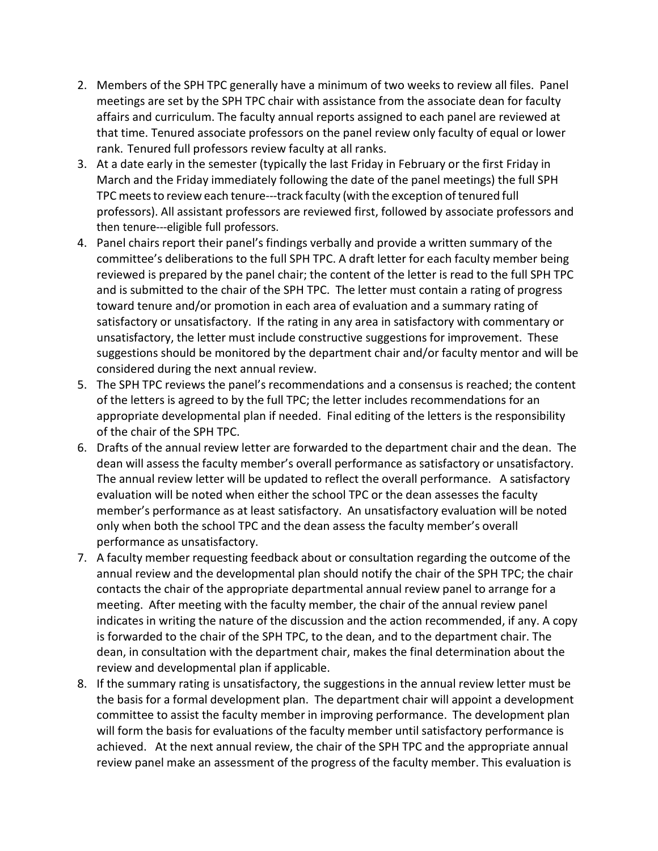- 2. Members of the SPH TPC generally have a minimum of two weeks to review all files. Panel meetings are set by the SPH TPC chair with assistance from the associate dean for faculty affairs and curriculum. The faculty annual reports assigned to each panel are reviewed at that time. Tenured associate professors on the panel review only faculty of equal or lower rank. Tenured full professors review faculty at all ranks.
- 3. At a date early in the semester (typically the last Friday in February or the first Friday in March and the Friday immediately following the date of the panel meetings) the full SPH TPC meets to review each tenure---track faculty (with the exception of tenured full professors). All assistant professors are reviewed first, followed by associate professors and then tenure---eligible full professors.
- 4. Panel chairs report their panel's findings verbally and provide a written summary of the committee's deliberations to the full SPH TPC. A draft letter for each faculty member being reviewed is prepared by the panel chair; the content of the letter is read to the full SPH TPC and is submitted to the chair of the SPH TPC. The letter must contain a rating of progress toward tenure and/or promotion in each area of evaluation and a summary rating of satisfactory or unsatisfactory. If the rating in any area in satisfactory with commentary or unsatisfactory, the letter must include constructive suggestions for improvement. These suggestions should be monitored by the department chair and/or faculty mentor and will be considered during the next annual review.
- 5. The SPH TPC reviews the panel's recommendations and a consensus is reached; the content of the letters is agreed to by the full TPC; the letter includes recommendations for an appropriate developmental plan if needed. Final editing of the letters is the responsibility of the chair of the SPH TPC.
- 6. Drafts of the annual review letter are forwarded to the department chair and the dean. The dean will assess the faculty member's overall performance as satisfactory or unsatisfactory. The annual review letter will be updated to reflect the overall performance. A satisfactory evaluation will be noted when either the school TPC or the dean assesses the faculty member's performance as at least satisfactory. An unsatisfactory evaluation will be noted only when both the school TPC and the dean assess the faculty member's overall performance as unsatisfactory.
- 7. A faculty member requesting feedback about or consultation regarding the outcome of the annual review and the developmental plan should notify the chair of the SPH TPC; the chair contacts the chair of the appropriate departmental annual review panel to arrange for a meeting. After meeting with the faculty member, the chair of the annual review panel indicates in writing the nature of the discussion and the action recommended, if any. A copy is forwarded to the chair of the SPH TPC, to the dean, and to the department chair. The dean, in consultation with the department chair, makes the final determination about the review and developmental plan if applicable.
- 8. If the summary rating is unsatisfactory, the suggestions in the annual review letter must be the basis for a formal development plan. The department chair will appoint a development committee to assist the faculty member in improving performance. The development plan will form the basis for evaluations of the faculty member until satisfactory performance is achieved. At the next annual review, the chair of the SPH TPC and the appropriate annual review panel make an assessment of the progress of the faculty member. This evaluation is